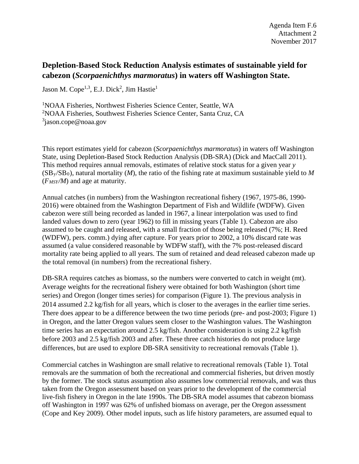## **Depletion-Based Stock Reduction Analysis estimates of sustainable yield for cabezon (***Scorpaenichthys marmoratus***) in waters off Washington State.**

Jason M. Cope $^{1,3}$ , E.J. Dick<sup>2</sup>, Jim Hastie $^1$ 

1 NOAA Fisheries, Northwest Fisheries Science Center, Seattle, WA 2 NOAA Fisheries, Southwest Fisheries Science Center, Santa Cruz, CA <sup>3</sup>jason.cope@noaa.gov

This report estimates yield for cabezon (*Scorpaenichthys marmoratus*) in waters off Washington State, using Depletion-Based Stock Reduction Analysis (DB-SRA) (Dick and MacCall 2011). This method requires annual removals, estimates of relative stock status for a given year *y* (SBy/SB0), natural mortality (*M*), the ratio of the fishing rate at maximum sustainable yield to *M* (*FMSY/M*) and age at maturity.

Annual catches (in numbers) from the Washington recreational fishery (1967, 1975-86, 1990- 2016) were obtained from the Washington Department of Fish and Wildlife (WDFW). Given cabezon were still being recorded as landed in 1967, a linear interpolation was used to find landed values down to zero (year 1962) to fill in missing years [\(Table 1\)](#page-2-0). Cabezon are also assumed to be caught and released, with a small fraction of those being released (7%; H. Reed (WDFW), pers. comm.) dying after capture. For years prior to 2002, a 10% discard rate was assumed (a value considered reasonable by WDFW staff), with the 7% post-released discard mortality rate being applied to all years. The sum of retained and dead released cabezon made up the total removal (in numbers) from the recreational fishery.

DB-SRA requires catches as biomass, so the numbers were converted to catch in weight (mt). Average weights for the recreational fishery were obtained for both Washington (short time series) and Oregon (longer times series) for comparison [\(Figure 1\)](#page-5-0). The previous analysis in 2014 assumed 2.2 kg/fish for all years, which is closer to the averages in the earlier time series. There does appear to be a difference between the two time periods (pre- and post-2003; [Figure 1\)](#page-5-0) in Oregon, and the latter Oregon values seem closer to the Washington values. The Washington time series has an expectation around 2.5 kg/fish. Another consideration is using 2.2 kg/fish before 2003 and 2.5 kg/fish 2003 and after. These three catch histories do not produce large differences, but are used to explore DB-SRA sensitivity to recreational removals [\(Table 1\)](#page-2-0).

Commercial catches in Washington are small relative to recreational removals [\(Table 1\)](#page-2-0). Total removals are the summation of both the recreational and commercial fisheries, but driven mostly by the former. The stock status assumption also assumes low commercial removals, and was thus taken from the Oregon assessment based on years prior to the development of the commercial live-fish fishery in Oregon in the late 1990s. The DB-SRA model assumes that cabezon biomass off Washington in 1997 was 62% of unfished biomass on average, per the Oregon assessment (Cope and Key 2009). Other model inputs, such as life history parameters, are assumed equal to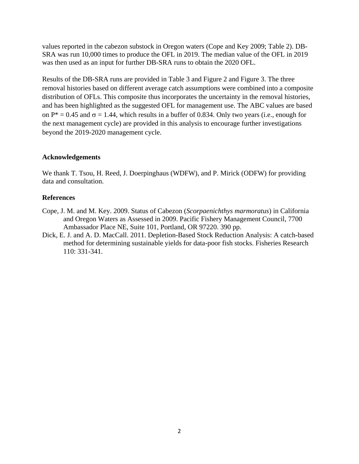values reported in the cabezon substock in Oregon waters (Cope and Key 2009; [Table 2\)](#page-4-0). DB-SRA was run 10,000 times to produce the OFL in 2019. The median value of the OFL in 2019 was then used as an input for further DB-SRA runs to obtain the 2020 OFL.

Results of the DB-SRA runs are provided in [Table 3](#page-4-1) and [Figure 2](#page-6-0) and [Figure 3.](#page-7-0) The three removal histories based on different average catch assumptions were combined into a composite distribution of OFLs. This composite thus incorporates the uncertainty in the removal histories, and has been highlighted as the suggested OFL for management use. The ABC values are based on  $P^* = 0.45$  and  $\sigma = 1.44$ , which results in a buffer of 0.834. Only two years (i.e., enough for the next management cycle) are provided in this analysis to encourage further investigations beyond the 2019-2020 management cycle.

## **Acknowledgements**

We thank T. Tsou, H. Reed, J. Doerpinghaus (WDFW), and P. Mirick (ODFW) for providing data and consultation.

## **References**

- Cope, J. M. and M. Key. 2009. Status of Cabezon (*Scorpaenichthys marmoratus*) in California and Oregon Waters as Assessed in 2009. Pacific Fishery Management Council, 7700 Ambassador Place NE, Suite 101, Portland, OR 97220. 390 pp.
- Dick, E. J. and A. D. MacCall. 2011. Depletion-Based Stock Reduction Analysis: A catch-based method for determining sustainable yields for data-poor fish stocks. Fisheries Research 110: 331-341.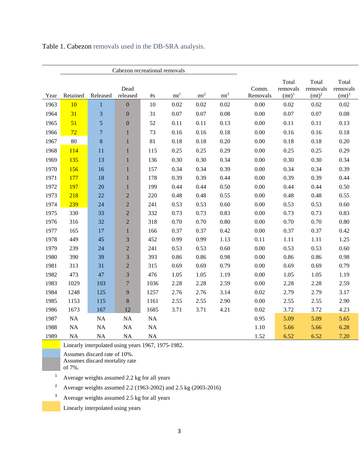|      | Cabezon recreational removals |                |                  |                   |                  |                 |        |                   |                                        |                               |                                        |
|------|-------------------------------|----------------|------------------|-------------------|------------------|-----------------|--------|-------------------|----------------------------------------|-------------------------------|----------------------------------------|
| Year | Retained                      | Released       | Dead<br>released | $\#_{\textrm{S}}$ | m t <sup>1</sup> | mt <sup>2</sup> | $mt^3$ | Comm.<br>Removals | Total<br>removals<br>(mt) <sup>1</sup> | Total<br>removals<br>$(mt)^2$ | Total<br>removals<br>(mt) <sup>3</sup> |
| 1963 | 10                            | $\mathbf{1}$   | $\boldsymbol{0}$ | 10                | 0.02             | 0.02            | 0.02   | 0.00              | 0.02                                   | 0.02                          | 0.02                                   |
| 1964 | 31                            | 3              | $\boldsymbol{0}$ | 31                | 0.07             | 0.07            | 0.08   | 0.00              | $0.07\,$                               | 0.07                          | 0.08                                   |
| 1965 | 51                            | 5              | $\boldsymbol{0}$ | 52                | 0.11             | 0.11            | 0.13   | 0.00              | 0.11                                   | 0.11                          | 0.13                                   |
| 1966 | 72                            | $\overline{7}$ | $\mathbf{1}$     | 73                | 0.16             | 0.16            | 0.18   | 0.00              | 0.16                                   | 0.16                          | 0.18                                   |
| 1967 | 80                            | $\,8\,$        | $\mathbf{1}$     | 81                | 0.18             | 0.18            | 0.20   | 0.00              | 0.18                                   | 0.18                          | 0.20                                   |
| 1968 | 114                           | 11             | $\mathbf{1}$     | 115               | 0.25             | 0.25            | 0.29   | 0.00              | 0.25                                   | 0.25                          | 0.29                                   |
| 1969 | 135                           | 13             | $\mathbf{1}$     | 136               | 0.30             | 0.30            | 0.34   | 0.00              | 0.30                                   | 0.30                          | 0.34                                   |
| 1970 | 156                           | 16             | $\mathbf{1}$     | 157               | 0.34             | 0.34            | 0.39   | 0.00              | 0.34                                   | 0.34                          | 0.39                                   |
| 1971 | 177                           | 18             | $\mathbf{1}$     | 178               | 0.39             | 0.39            | 0.44   | 0.00              | 0.39                                   | 0.39                          | 0.44                                   |
| 1972 | 197                           | 20             | $\mathbf{1}$     | 199               | 0.44             | 0.44            | 0.50   | 0.00              | 0.44                                   | 0.44                          | 0.50                                   |
| 1973 | 218                           | 22             | $\sqrt{2}$       | 220               | 0.48             | 0.48            | 0.55   | 0.00              | 0.48                                   | 0.48                          | 0.55                                   |
| 1974 | 239                           | 24             | $\overline{c}$   | 241               | 0.53             | 0.53            | 0.60   | 0.00              | 0.53                                   | 0.53                          | 0.60                                   |
| 1975 | 330                           | 33             | $\sqrt{2}$       | 332               | 0.73             | 0.73            | 0.83   | 0.00              | 0.73                                   | 0.73                          | 0.83                                   |
| 1976 | 316                           | 32             | $\sqrt{2}$       | 318               | 0.70             | 0.70            | 0.80   | 0.00              | 0.70                                   | 0.70                          | 0.80                                   |
| 1977 | 165                           | 17             | $\,1$            | 166               | 0.37             | 0.37            | 0.42   | 0.00              | 0.37                                   | 0.37                          | 0.42                                   |
| 1978 | 449                           | 45             | $\mathfrak{Z}$   | 452               | 0.99             | 0.99            | 1.13   | 0.11              | 1.11                                   | 1.11                          | 1.25                                   |
| 1979 | 239                           | 24             | $\sqrt{2}$       | 241               | 0.53             | 0.53            | 0.60   | 0.00              | 0.53                                   | 0.53                          | 0.60                                   |
| 1980 | 390                           | 39             | $\sqrt{3}$       | 393               | 0.86             | 0.86            | 0.98   | 0.00              | 0.86                                   | 0.86                          | 0.98                                   |
| 1981 | 313                           | 31             | $\sqrt{2}$       | 315               | 0.69             | 0.69            | 0.79   | 0.00              | 0.69                                   | 0.69                          | 0.79                                   |
| 1982 | 473                           | 47             | $\mathfrak{Z}$   | 476               | 1.05             | 1.05            | 1.19   | 0.00              | 1.05                                   | 1.05                          | 1.19                                   |
| 1983 | 1029                          | 103            | $\boldsymbol{7}$ | 1036              | 2.28             | 2.28            | 2.59   | 0.00              | 2.28                                   | 2.28                          | 2.59                                   |
| 1984 | 1248                          | 125            | $\overline{9}$   | 1257              | 2.76             | 2.76            | 3.14   | 0.02              | 2.79                                   | 2.79                          | 3.17                                   |
| 1985 | 1153                          | 115            | $\,8\,$          | 1161              | 2.55             | 2.55            | 2.90   | 0.00              | 2.55                                   | 2.55                          | 2.90                                   |
| 1986 | 1673                          | 167            | 12               | 1685              | 3.71             | 3.71            | 4.21   | 0.02              | 3.72                                   | 3.72                          | 4.23                                   |
| 1987 | $\rm NA$                      | NA             | <b>NA</b>        | NA                |                  |                 |        | 0.95              | 5.09                                   | 5.09                          | 5.65                                   |
| 1988 | NA                            | $\rm NA$       | <b>NA</b>        | $\rm NA$          |                  |                 |        | 1.10              | 5.66                                   | 5.66                          | 6.28                                   |
| 1989 | NA                            | <b>NA</b>      | NA               | NA                |                  |                 |        | 1.52              | 6.52                                   | 6.52                          | 7.20                                   |

<span id="page-2-0"></span>Table 1. Cabezon removals used in the DB-SRA analysis.

Linearly interpolated using years 1967, 1975-1982.

Assumes discard rate of 10%.

Assumes discard mortality rate

of 7%.

<sup>1</sup> Average weights assumed 2.2 kg for all years

<sup>2</sup> Average weights assumed 2.2 (1963-2002) and 2.5 kg (2003-2016)

<sup>3</sup> Average weights assumed 2.5 kg for all years

Linearly interpolated using years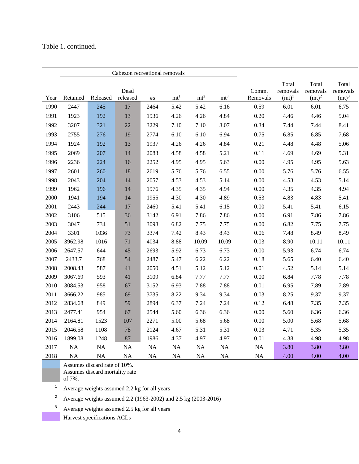## Table 1. continued.

|      | Cabezon recreational removals |           |           |                   |                  |             |           |          |                   |                   |                   |
|------|-------------------------------|-----------|-----------|-------------------|------------------|-------------|-----------|----------|-------------------|-------------------|-------------------|
|      |                               |           | Dead      |                   |                  |             |           | Comm.    | Total<br>removals | Total<br>removals | Total<br>removals |
| Year | Retained                      | Released  | released  | $\#_{\mathbf{S}}$ | m t <sup>1</sup> | $\rm{m}t^2$ | $mt^3$    | Removals | (mt) <sup>1</sup> | $(mt)^2$          | (mt) <sup>3</sup> |
| 1990 | 2447                          | 245       | 17        | 2464              | 5.42             | 5.42        | 6.16      | 0.59     | 6.01              | 6.01              | 6.75              |
| 1991 | 1923                          | 192       | 13        | 1936              | 4.26             | 4.26        | 4.84      | 0.20     | 4.46              | 4.46              | 5.04              |
| 1992 | 3207                          | 321       | 22        | 3229              | 7.10             | 7.10        | 8.07      | 0.34     | 7.44              | 7.44              | 8.41              |
| 1993 | 2755                          | 276       | 19        | 2774              | 6.10             | 6.10        | 6.94      | 0.75     | 6.85              | 6.85              | 7.68              |
| 1994 | 1924                          | 192       | 13        | 1937              | 4.26             | 4.26        | 4.84      | 0.21     | 4.48              | 4.48              | 5.06              |
| 1995 | 2069                          | 207       | 14        | 2083              | 4.58             | 4.58        | 5.21      | 0.11     | 4.69              | 4.69              | 5.31              |
| 1996 | 2236                          | 224       | 16        | 2252              | 4.95             | 4.95        | 5.63      | 0.00     | 4.95              | 4.95              | 5.63              |
| 1997 | 2601                          | 260       | 18        | 2619              | 5.76             | 5.76        | 6.55      | 0.00     | 5.76              | 5.76              | 6.55              |
| 1998 | 2043                          | 204       | 14        | 2057              | 4.53             | 4.53        | 5.14      | 0.00     | 4.53              | 4.53              | 5.14              |
| 1999 | 1962                          | 196       | 14        | 1976              | 4.35             | 4.35        | 4.94      | 0.00     | 4.35              | 4.35              | 4.94              |
| 2000 | 1941                          | 194       | 14        | 1955              | 4.30             | 4.30        | 4.89      | 0.53     | 4.83              | 4.83              | 5.41              |
| 2001 | 2443                          | 244       | 17        | 2460              | 5.41             | 5.41        | 6.15      | 0.00     | 5.41              | 5.41              | 6.15              |
| 2002 | 3106                          | 515       | 36        | 3142              | 6.91             | 7.86        | 7.86      | 0.00     | 6.91              | 7.86              | 7.86              |
| 2003 | 3047                          | 734       | 51        | 3098              | 6.82             | 7.75        | 7.75      | 0.00     | 6.82              | 7.75              | 7.75              |
| 2004 | 3301                          | 1036      | 73        | 3374              | 7.42             | 8.43        | 8.43      | 0.06     | 7.48              | 8.49              | 8.49              |
| 2005 | 3962.98                       | 1016      | 71        | 4034              | 8.88             | 10.09       | 10.09     | 0.03     | 8.90              | 10.11             | 10.11             |
| 2006 | 2647.57                       | 644       | 45        | 2693              | 5.92             | 6.73        | 6.73      | 0.00     | 5.93              | 6.74              | 6.74              |
| 2007 | 2433.7                        | 768       | 54        | 2487              | 5.47             | 6.22        | 6.22      | 0.18     | 5.65              | 6.40              | 6.40              |
| 2008 | 2008.43                       | 587       | 41        | 2050              | 4.51             | 5.12        | 5.12      | $0.01\,$ | 4.52              | 5.14              | 5.14              |
| 2009 | 3067.69                       | 593       | 41        | 3109              | 6.84             | 7.77        | 7.77      | 0.00     | 6.84              | 7.78              | 7.78              |
| 2010 | 3084.53                       | 958       | 67        | 3152              | 6.93             | 7.88        | 7.88      | $0.01\,$ | 6.95              | 7.89              | 7.89              |
| 2011 | 3666.22                       | 985       | 69        | 3735              | 8.22             | 9.34        | 9.34      | 0.03     | 8.25              | 9.37              | 9.37              |
| 2012 | 2834.68                       | 849       | 59        | 2894              | 6.37             | 7.24        | 7.24      | 0.12     | 6.48              | 7.35              | 7.35              |
| 2013 | 2477.41                       | 954       | 67        | 2544              | 5.60             | 6.36        | 6.36      | 0.00     | 5.60              | 6.36              | 6.36              |
| 2014 | 2164.81                       | 1523      | 107       | 2271              | 5.00             | 5.68        | 5.68      | 0.00     | 5.00              | 5.68              | 5.68              |
| 2015 | 2046.58                       | 1108      | 78        | 2124              | 4.67             | 5.31        | 5.31      | 0.03     | 4.71              | 5.35              | 5.35              |
| 2016 | 1899.08                       | 1248      | 87        | 1986              | 4.37             | 4.97        | 4.97      | 0.01     | 4.38              | 4.98              | 4.98              |
| 2017 | <b>NA</b>                     | NA        | <b>NA</b> | $\rm NA$          | NA               | <b>NA</b>   | <b>NA</b> | NA       | 3.80              | 3.80              | 3.80              |
| 2018 | <b>NA</b>                     | <b>NA</b> | NA        | <b>NA</b>         | NA               | <b>NA</b>   | NA        | NA       | 4.00              | 4.00              | 4.00              |

Assumes discard rate of 10%.

Assumes discard mortality rate

of 7%.

Average weights assumed 2.2 kg for all years

Average weights assumed 2.2 (1963-2002) and 2.5 kg (2003-2016)

<sup>3</sup> Average weights assumed 2.5 kg for all years

Harvest specifications ACLs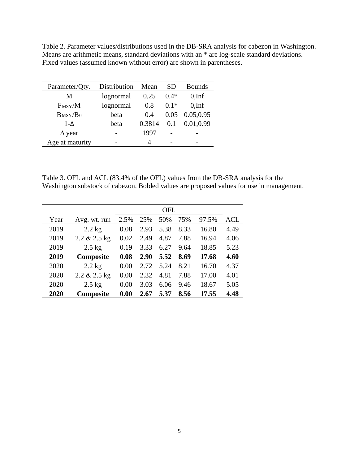<span id="page-4-0"></span>Table 2. Parameter values/distributions used in the DB-SRA analysis for cabezon in Washington. Means are arithmetic means, standard deviations with an \* are log-scale standard deviations. Fixed values (assumed known without error) are shown in parentheses.

| Parameter/Qty.    | Distribution | Mean   | SD     | <b>Bounds</b> |  |
|-------------------|--------------|--------|--------|---------------|--|
| M                 | lognormal    | 0.25   | $0.4*$ | $0,$ Inf      |  |
| $F_{\rm MSY}/M$   | lognormal    | 0.8    | $0.1*$ | $0,$ Inf      |  |
| $B_{\rm MSY}/B_0$ | beta         | 0.4    | 0.05   | 0.05,0.95     |  |
| $1-\Delta$        | beta         | 0.3814 | 0.1    | 0.01,0.99     |  |
| $\Delta$ year     |              | 1997   |        |               |  |
| Age at maturity   |              | 4      |        |               |  |

<span id="page-4-1"></span>Table 3. OFL and ACL (83.4% of the OFL) values from the DB-SRA analysis for the Washington substock of cabezon. Bolded values are proposed values for use in management.

| Year | Avg. wt. run | 2.5% | 25%  | 50%  | 75%  | 97.5% | ACL  |
|------|--------------|------|------|------|------|-------|------|
| 2019 | $2.2$ kg     | 0.08 | 2.93 | 5.38 | 8.33 | 16.80 | 4.49 |
| 2019 | 2.2 & 2.5 kg | 0.02 | 2.49 | 4.87 | 7.88 | 16.94 | 4.06 |
| 2019 | $2.5$ kg     | 0.19 | 3.33 | 6.27 | 9.64 | 18.85 | 5.23 |
| 2019 | Composite    | 0.08 | 2.90 | 5.52 | 8.69 | 17.68 | 4.60 |
| 2020 | $2.2$ kg     | 0.00 | 2.72 | 5.24 | 8.21 | 16.70 | 4.37 |
| 2020 | 2.2 & 2.5 kg | 0.00 | 2.32 | 4.81 | 7.88 | 17.00 | 4.01 |
| 2020 | $2.5$ kg     | 0.00 | 3.03 | 6.06 | 9.46 | 18.67 | 5.05 |
| 2020 | Composite    | 0.00 | 2.67 | 5.37 | 8.56 | 17.55 | 4.48 |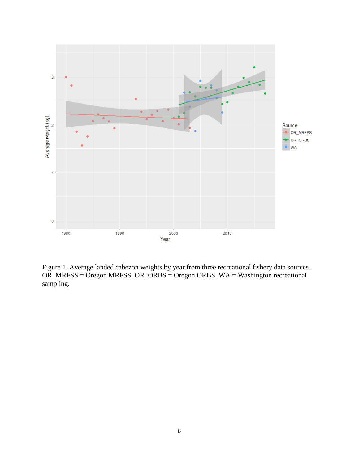

<span id="page-5-0"></span>Figure 1. Average landed cabezon weights by year from three recreational fishery data sources. OR\_MRFSS = Oregon MRFSS. OR\_ORBS = Oregon ORBS. WA = Washington recreational sampling.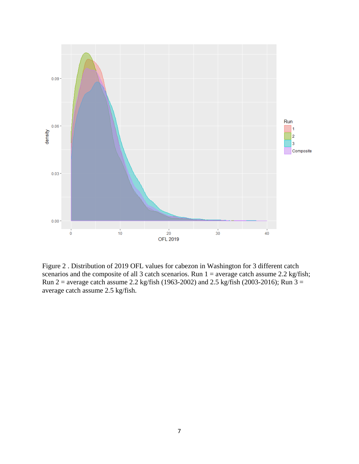

<span id="page-6-0"></span>Figure 2 . Distribution of 2019 OFL values for cabezon in Washington for 3 different catch scenarios and the composite of all 3 catch scenarios. Run  $1 =$  average catch assume 2.2 kg/fish; Run 2 = average catch assume 2.2 kg/fish (1963-2002) and 2.5 kg/fish (2003-2016); Run  $3 =$ average catch assume 2.5 kg/fish.